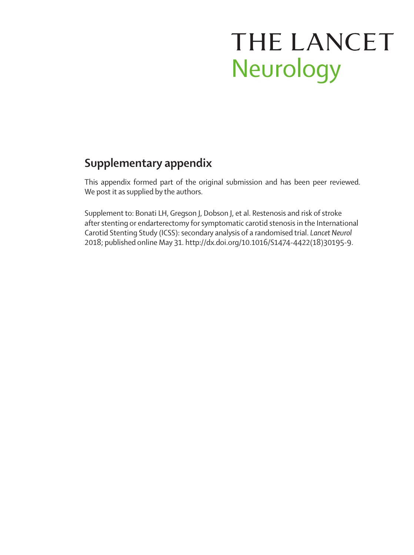# THE LANCET Neurology

## **Supplementary appendix**

This appendix formed part of the original submission and has been peer reviewed. We post it as supplied by the authors.

Supplement to: Bonati LH, Gregson J, Dobson J, et al. Restenosis and risk of stroke after stenting or endarterectomy for symptomatic carotid stenosis in the International Carotid Stenting Study (ICSS): secondary analysis of a randomised trial. *Lancet Neurol* 2018; published online May 31. http://dx.doi.org/10.1016/S1474-4422(18)30195-9.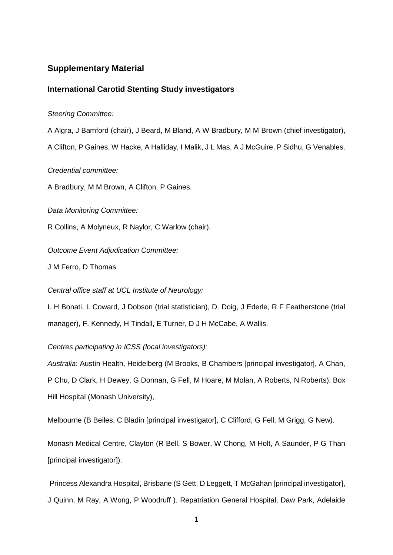#### **Supplementary Material**

#### **International Carotid Stenting Study investigators**

#### *Steering Committee:*

A Algra, J Bamford (chair), J Beard, M Bland, A W Bradbury, M M Brown (chief investigator), A Clifton, P Gaines, W Hacke, A Halliday, I Malik, J L Mas, A J McGuire, P Sidhu, G Venables.

*Credential committee:* 

A Bradbury, M M Brown, A Clifton, P Gaines.

*Data Monitoring Committee:* 

R Collins, A Molyneux, R Naylor, C Warlow (chair).

*Outcome Event Adjudication Committee:* 

J M Ferro, D Thomas.

#### *Central office staff at UCL Institute of Neurology:*

L H Bonati, L Coward, J Dobson (trial statistician), D. Doig, J Ederle, R F Featherstone (trial manager), F. Kennedy, H Tindall, E Turner, D J H McCabe, A Wallis.

*Centres participating in ICSS (local investigators):*

*Australia*: Austin Health, Heidelberg (M Brooks, B Chambers [principal investigator], A Chan, P Chu, D Clark, H Dewey, G Donnan, G Fell, M Hoare, M Molan, A Roberts, N Roberts). Box Hill Hospital (Monash University),

Melbourne (B Beiles, C Bladin [principal investigator], C Clifford, G Fell, M Grigg, G New).

Monash Medical Centre, Clayton (R Bell, S Bower, W Chong, M Holt, A Saunder, P G Than [principal investigator]).

Princess Alexandra Hospital, Brisbane (S Gett, D Leggett, T McGahan [principal investigator], J Quinn, M Ray, A Wong, P Woodruff ). Repatriation General Hospital, Daw Park, Adelaide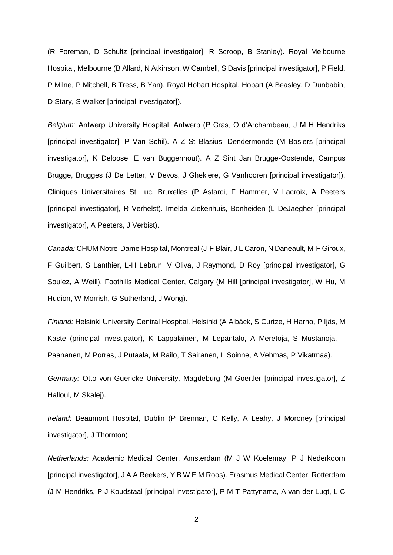(R Foreman, D Schultz [principal investigator], R Scroop, B Stanley). Royal Melbourne Hospital, Melbourne (B Allard, N Atkinson, W Cambell, S Davis [principal investigator], P Field, P Milne, P Mitchell, B Tress, B Yan). Royal Hobart Hospital, Hobart (A Beasley, D Dunbabin, D Stary, S Walker [principal investigator]).

*Belgium*: Antwerp University Hospital, Antwerp (P Cras, O d'Archambeau, J M H Hendriks [principal investigator], P Van Schil). A Z St Blasius, Dendermonde (M Bosiers [principal investigator], K Deloose, E van Buggenhout). A Z Sint Jan Brugge-Oostende, Campus Brugge, Brugges (J De Letter, V Devos, J Ghekiere, G Vanhooren [principal investigator]). Cliniques Universitaires St Luc, Bruxelles (P Astarci, F Hammer, V Lacroix, A Peeters [principal investigator], R Verhelst). Imelda Ziekenhuis, Bonheiden (L DeJaegher [principal investigator], A Peeters, J Verbist).

*Canada:* CHUM Notre-Dame Hospital, Montreal (J-F Blair, J L Caron, N Daneault, M-F Giroux, F Guilbert, S Lanthier, L-H Lebrun, V Oliva, J Raymond, D Roy [principal investigator], G Soulez, A Weill). Foothills Medical Center, Calgary (M Hill [principal investigator], W Hu, M Hudion, W Morrish, G Sutherland, J Wong).

*Finland:* Helsinki University Central Hospital, Helsinki (A Albäck, S Curtze, H Harno, P Ijäs, M Kaste (principal investigator), K Lappalainen, M Lepäntalo, A Meretoja, S Mustanoja, T Paananen, M Porras, J Putaala, M Railo, T Sairanen, L Soinne, A Vehmas, P Vikatmaa).

*Germany:* Otto von Guericke University, Magdeburg (M Goertler [principal investigator], Z Halloul, M Skalej).

*Ireland:* Beaumont Hospital, Dublin (P Brennan, C Kelly, A Leahy, J Moroney [principal investigator], J Thornton).

*Netherlands:* Academic Medical Center, Amsterdam (M J W Koelemay, P J Nederkoorn [principal investigator], J A A Reekers, Y B W E M Roos). Erasmus Medical Center, Rotterdam (J M Hendriks, P J Koudstaal [principal investigator], P M T Pattynama, A van der Lugt, L C

2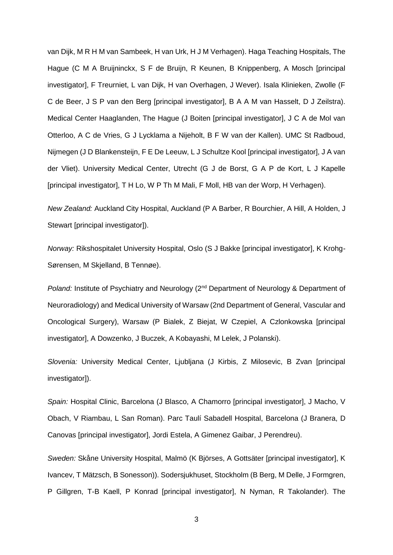van Dijk, M R H M van Sambeek, H van Urk, H J M Verhagen). Haga Teaching Hospitals, The Hague (C M A Bruijninckx, S F de Bruijn, R Keunen, B Knippenberg, A Mosch [principal investigator], F Treurniet, L van Dijk, H van Overhagen, J Wever). Isala Klinieken, Zwolle (F C de Beer, J S P van den Berg [principal investigator], B A A M van Hasselt, D J Zeilstra). Medical Center Haaglanden, The Hague (J Boiten [principal investigator], J C A de Mol van Otterloo, A C de Vries, G J Lycklama a Nijeholt, B F W van der Kallen). UMC St Radboud, Nijmegen (J D Blankensteijn, F E De Leeuw, L J Schultze Kool [principal investigator], J A van der Vliet). University Medical Center, Utrecht (G J de Borst, G A P de Kort, L J Kapelle [principal investigator], T H Lo, W P Th M Mali, F Moll, HB van der Worp, H Verhagen).

*New Zealand:* Auckland City Hospital, Auckland (P A Barber, R Bourchier, A Hill, A Holden, J Stewart [principal investigator]).

*Norway:* Rikshospitalet University Hospital, Oslo (S J Bakke [principal investigator], K Krohg-Sørensen, M Skjelland, B Tennøe).

*Poland:* Institute of Psychiatry and Neurology (2<sup>nd</sup> Department of Neurology & Department of Neuroradiology) and Medical University of Warsaw (2nd Department of General, Vascular and Oncological Surgery), Warsaw (P Bialek, Z Biejat, W Czepiel, A Czlonkowska [principal investigator], A Dowzenko, J Buczek, A Kobayashi, M Lelek, J Polanski).

*Slovenia:* University Medical Center, Ljubljana (J Kirbis, Z Milosevic, B Zvan [principal investigator]).

*Spain:* Hospital Clinic, Barcelona (J Blasco, A Chamorro [principal investigator], J Macho, V Obach, V Riambau, L San Roman). Parc Taulí Sabadell Hospital, Barcelona (J Branera, D Canovas [principal investigator], Jordi Estela, A Gimenez Gaibar, J Perendreu).

*Sweden:* Skåne University Hospital, Malmö (K Björses, A Gottsäter [principal investigator], K Ivancev, T Mätzsch, B Sonesson)). Sodersjukhuset, Stockholm (B Berg, M Delle, J Formgren, P Gillgren, T-B Kaell, P Konrad [principal investigator], N Nyman, R Takolander). The

3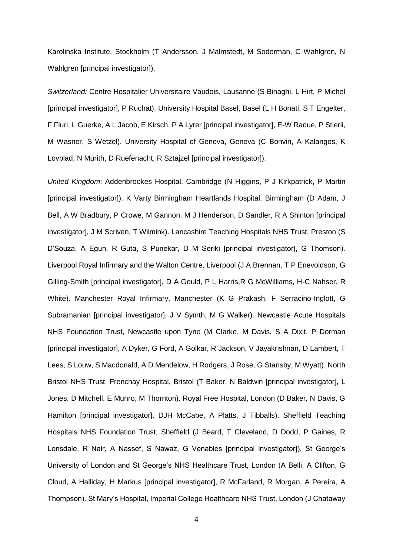Karolinska Institute, Stockholm (T Andersson, J Malmstedt, M Soderman, C Wahlgren, N Wahlgren [principal investigator]).

*Switzerland:* Centre Hospitalier Universitaire Vaudois, Lausanne (S Binaghi, L Hirt, P Michel [principal investigator], P Ruchat). University Hospital Basel, Basel (L H Bonati, S T Engelter, F Fluri, L Guerke, A L Jacob, E Kirsch, P A Lyrer [principal investigator], E-W Radue, P Stierli, M Wasner, S Wetzel). University Hospital of Geneva, Geneva (C Bonvin, A Kalangos, K Lovblad, N Murith, D Ruefenacht, R Sztajzel [principal investigator]).

*United Kingdom*: Addenbrookes Hospital, Cambridge (N Higgins, P J Kirkpatrick, P Martin [principal investigator]). K Varty Birmingham Heartlands Hospital, Birmingham (D Adam, J Bell, A W Bradbury, P Crowe, M Gannon, M J Henderson, D Sandler, R A Shinton [principal investigator], J M Scriven, T Wilmink). Lancashire Teaching Hospitals NHS Trust, Preston (S D'Souza, A Egun, R Guta, S Punekar, D M Seriki [principal investigator], G Thomson). Liverpool Royal Infirmary and the Walton Centre, Liverpool (J A Brennan, T P Enevoldson, G Gilling-Smith [principal investigator], D A Gould, P L Harris,R G McWilliams, H-C Nahser, R White). Manchester Royal Infirmary, Manchester (K G Prakash, F Serracino-Inglott, G Subramanian [principal investigator], J V Symth, M G Walker). Newcastle Acute Hospitals NHS Foundation Trust, Newcastle upon Tyne (M Clarke, M Davis, S A Dixit, P Dorman [principal investigator], A Dyker, G Ford, A Golkar, R Jackson, V Jayakrishnan, D Lambert, T Lees, S Louw, S Macdonald, A D Mendelow, H Rodgers, J Rose, G Stansby, M Wyatt). North Bristol NHS Trust, Frenchay Hospital, Bristol (T Baker, N Baldwin [principal investigator], L Jones, D Mitchell, E Munro, M Thornton). Royal Free Hospital, London (D Baker, N Davis, G Hamilton [principal investigator], DJH McCabe, A Platts, J Tibballs). Sheffield Teaching Hospitals NHS Foundation Trust, Sheffield (J Beard, T Cleveland, D Dodd, P Gaines, R Lonsdale, R Nair, A Nassef, S Nawaz, G Venables [principal investigator]). St George's University of London and St George's NHS Healthcare Trust, London (A Belli, A Clifton, G Cloud, A Halliday, H Markus [principal investigator], R McFarland, R Morgan, A Pereira, A Thompson). St Mary's Hospital, Imperial College Healthcare NHS Trust, London (J Chataway

4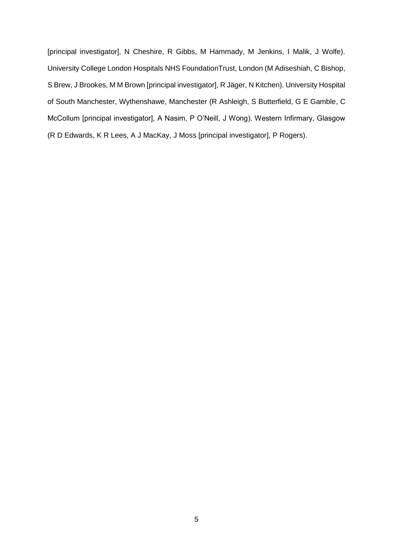[principal investigator], N Cheshire, R Gibbs, M Hammady, M Jenkins, I Malik, J Wolfe). University College London Hospitals NHS FoundationTrust, London (M Adiseshiah, C Bishop, S Brew, J Brookes, M M Brown [principal investigator], R Jäger, N Kitchen). University Hospital of South Manchester, Wythenshawe, Manchester (R Ashleigh, S Butterfield, G E Gamble, C McCollum [principal investigator], A Nasim, P O'Neill, J Wong). Western Infirmary, Glasgow (R D Edwards, K R Lees, A J MacKay, J Moss [principal investigator], P Rogers).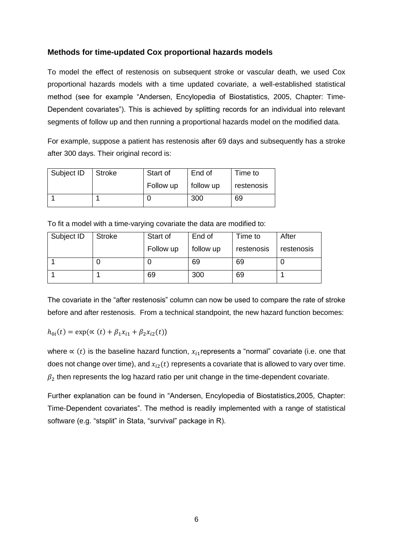#### **Methods for time-updated Cox proportional hazards models**

To model the effect of restenosis on subsequent stroke or vascular death, we used Cox proportional hazards models with a time updated covariate, a well-established statistical method (see for example "Andersen, Encylopedia of Biostatistics, 2005, Chapter: Time-Dependent covariates"). This is achieved by splitting records for an individual into relevant segments of follow up and then running a proportional hazards model on the modified data.

For example, suppose a patient has restenosis after 69 days and subsequently has a stroke after 300 days. Their original record is:

| Subject ID | Stroke | End of<br>Start of |           | Time to    |
|------------|--------|--------------------|-----------|------------|
|            |        | Follow up          | follow up | restenosis |
|            |        |                    | 300       | 69         |

To fit a model with a time-varying covariate the data are modified to:

| Subject ID | <b>Stroke</b> | Start of  | End of    | Time to    | After      |
|------------|---------------|-----------|-----------|------------|------------|
|            |               | Follow up | follow up | restenosis | restenosis |
|            |               |           | 69        | 69         |            |
|            |               | 69        | 300       | 69         |            |

The covariate in the "after restenosis" column can now be used to compare the rate of stroke before and after restenosis. From a technical standpoint, the new hazard function becomes:

$$
h_{0i}(t) = \exp(\alpha(t) + \beta_1 x_{i1} + \beta_2 x_{i2}(t))
$$

where  $\propto$  (t) is the baseline hazard function,  $x_{i1}$  represents a "normal" covariate (i.e. one that does not change over time), and  $x_i(t)$  represents a covariate that is allowed to vary over time.  $\beta_2$  then represents the log hazard ratio per unit change in the time-dependent covariate.

Further explanation can be found in "Andersen, Encylopedia of Biostatistics,2005, Chapter: Time-Dependent covariates". The method is readily implemented with a range of statistical software (e.g. "stsplit" in Stata, "survival" package in R).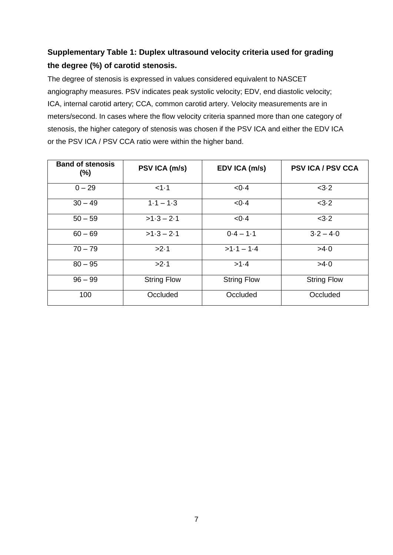### **Supplementary Table 1: Duplex ultrasound velocity criteria used for grading the degree (%) of carotid stenosis.**

The degree of stenosis is expressed in values considered equivalent to NASCET angiography measures. PSV indicates peak systolic velocity; EDV, end diastolic velocity; ICA, internal carotid artery; CCA, common carotid artery. Velocity measurements are in meters/second. In cases where the flow velocity criteria spanned more than one category of stenosis, the higher category of stenosis was chosen if the PSV ICA and either the EDV ICA or the PSV ICA / PSV CCA ratio were within the higher band.

| <b>Band of stenosis</b><br>$(\%)$ | PSV ICA (m/s)      | EDV ICA (m/s)      | <b>PSV ICA / PSV CCA</b> |
|-----------------------------------|--------------------|--------------------|--------------------------|
| $0 - 29$                          | <1.1               | <0.4               | <3.2                     |
| $30 - 49$                         | $1.1 - 1.3$        | <0.4               | <3.2                     |
| $50 - 59$                         | $>1.3 - 2.1$       | <0.4               | <3.2                     |
| $60 - 69$                         | $>1.3 - 2.1$       | $0.4 - 1.1$        | $3.2 - 4.0$              |
| $70 - 79$                         | >2.1               | $>1.1 - 1.4$       | >4.0                     |
| $80 - 95$                         | >2.1               | >1.4               | >4.0                     |
| $96 - 99$                         | <b>String Flow</b> | <b>String Flow</b> | <b>String Flow</b>       |
| 100                               | Occluded           | Occluded           | Occluded                 |